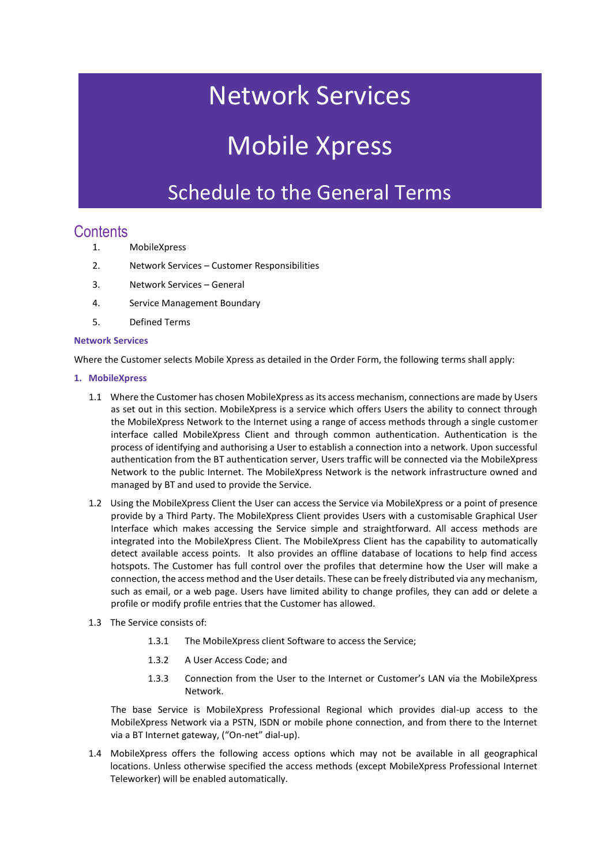## Network Services

# Mobile Xpress

### Schedule to the General Terms

### **Contents**

- 1. MobileXpress
- 2. Network Services Customer Responsibilities
- 3. Network Services General
- 4. Service Management Boundary
- 5. Defined Terms

#### **Network Services**

Where the Customer selects Mobile Xpress as detailed in the Order Form, the following terms shall apply:

#### **1. MobileXpress**

- 1.1 Where the Customer has chosen MobileXpress as its access mechanism, connections are made by Users as set out in this section. MobileXpress is a service which offers Users the ability to connect through the MobileXpress Network to the Internet using a range of access methods through a single customer interface called MobileXpress Client and through common authentication. Authentication is the process of identifying and authorising a User to establish a connection into a network. Upon successful authentication from the BT authentication server, Users traffic will be connected via the MobileXpress Network to the public Internet. The MobileXpress Network is the network infrastructure owned and managed by BT and used to provide the Service.
- 1.2 Using the MobileXpress Client the User can access the Service via MobileXpress or a point of presence provide by a Third Party. The MobileXpress Client provides Users with a customisable Graphical User Interface which makes accessing the Service simple and straightforward. All access methods are integrated into the MobileXpress Client. The MobileXpress Client has the capability to automatically detect available access points. It also provides an offline database of locations to help find access hotspots. The Customer has full control over the profiles that determine how the User will make a connection, the access method and the User details. These can be freely distributed via any mechanism, such as email, or a web page. Users have limited ability to change profiles, they can add or delete a profile or modify profile entries that the Customer has allowed.
- 1.3 The Service consists of:
	- 1.3.1 The MobileXpress client Software to access the Service;
	- 1.3.2 A User Access Code; and
	- 1.3.3 Connection from the User to the Internet or Customer's LAN via the MobileXpress Network.

The base Service is MobileXpress Professional Regional which provides dial-up access to the MobileXpress Network via a PSTN, ISDN or mobile phone connection, and from there to the Internet via a BT Internet gateway, ("On-net" dial-up).

1.4 MobileXpress offers the following access options which may not be available in all geographical locations. Unless otherwise specified the access methods (except MobileXpress Professional Internet Teleworker) will be enabled automatically.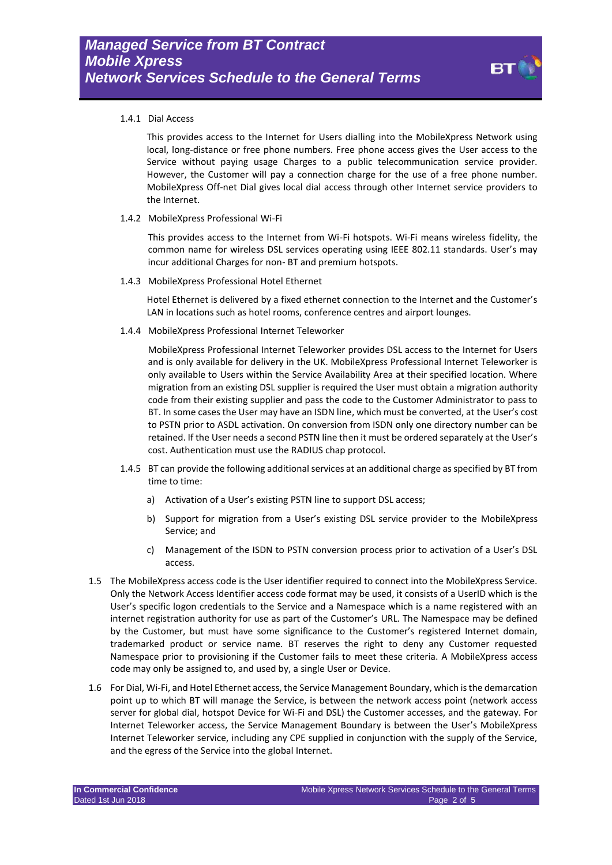#### 1.4.1 Dial Access

This provides access to the Internet for Users dialling into the MobileXpress Network using local, long-distance or free phone numbers. Free phone access gives the User access to the Service without paying usage Charges to a public telecommunication service provider. However, the Customer will pay a connection charge for the use of a free phone number. MobileXpress Off-net Dial gives local dial access through other Internet service providers to the Internet.

1.4.2 MobileXpress Professional Wi-Fi

This provides access to the Internet from Wi-Fi hotspots. Wi-Fi means wireless fidelity, the common name for wireless DSL services operating using IEEE 802.11 standards. User's may incur additional Charges for non- BT and premium hotspots.

1.4.3 MobileXpress Professional Hotel Ethernet

Hotel Ethernet is delivered by a fixed ethernet connection to the Internet and the Customer's LAN in locations such as hotel rooms, conference centres and airport lounges.

1.4.4 MobileXpress Professional Internet Teleworker

MobileXpress Professional Internet Teleworker provides DSL access to the Internet for Users and is only available for delivery in the UK. MobileXpress Professional Internet Teleworker is only available to Users within the Service Availability Area at their specified location. Where migration from an existing DSL supplier is required the User must obtain a migration authority code from their existing supplier and pass the code to the Customer Administrator to pass to BT. In some cases the User may have an ISDN line, which must be converted, at the User's cost to PSTN prior to ASDL activation. On conversion from ISDN only one directory number can be retained. If the User needs a second PSTN line then it must be ordered separately at the User's cost. Authentication must use the RADIUS chap protocol.

- 1.4.5 BT can provide the following additional services at an additional charge as specified by BT from time to time:
	- a) Activation of a User's existing PSTN line to support DSL access;
	- b) Support for migration from a User's existing DSL service provider to the MobileXpress Service; and
	- c) Management of the ISDN to PSTN conversion process prior to activation of a User's DSL access.
- 1.5 The MobileXpress access code is the User identifier required to connect into the MobileXpress Service. Only the Network Access Identifier access code format may be used, it consists of a UserID which is the User's specific logon credentials to the Service and a Namespace which is a name registered with an internet registration authority for use as part of the Customer's URL. The Namespace may be defined by the Customer, but must have some significance to the Customer's registered Internet domain, trademarked product or service name. BT reserves the right to deny any Customer requested Namespace prior to provisioning if the Customer fails to meet these criteria. A MobileXpress access code may only be assigned to, and used by, a single User or Device.
- 1.6 For Dial, Wi-Fi, and Hotel Ethernet access, the Service Management Boundary, which is the demarcation point up to which BT will manage the Service, is between the network access point (network access server for global dial, hotspot Device for Wi-Fi and DSL) the Customer accesses, and the gateway. For Internet Teleworker access, the Service Management Boundary is between the User's MobileXpress Internet Teleworker service, including any CPE supplied in conjunction with the supply of the Service, and the egress of the Service into the global Internet.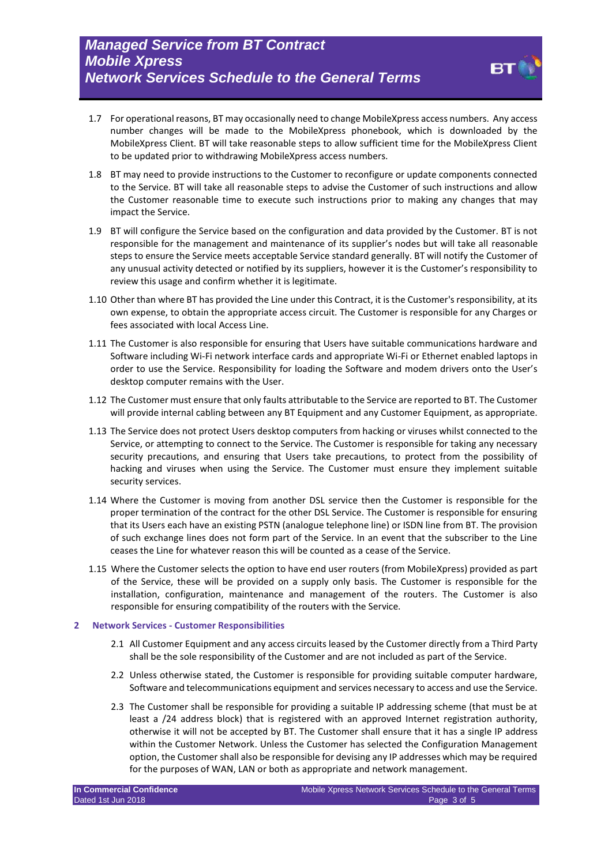

- 1.7 For operational reasons, BT may occasionally need to change MobileXpress access numbers. Any access number changes will be made to the MobileXpress phonebook, which is downloaded by the MobileXpress Client. BT will take reasonable steps to allow sufficient time for the MobileXpress Client to be updated prior to withdrawing MobileXpress access numbers.
- 1.8 BT may need to provide instructions to the Customer to reconfigure or update components connected to the Service. BT will take all reasonable steps to advise the Customer of such instructions and allow the Customer reasonable time to execute such instructions prior to making any changes that may impact the Service.
- 1.9 BT will configure the Service based on the configuration and data provided by the Customer. BT is not responsible for the management and maintenance of its supplier's nodes but will take all reasonable steps to ensure the Service meets acceptable Service standard generally. BT will notify the Customer of any unusual activity detected or notified by its suppliers, however it is the Customer's responsibility to review this usage and confirm whether it is legitimate.
- 1.10 Other than where BT has provided the Line under this Contract, it is the Customer's responsibility, at its own expense, to obtain the appropriate access circuit. The Customer is responsible for any Charges or fees associated with local Access Line.
- 1.11 The Customer is also responsible for ensuring that Users have suitable communications hardware and Software including Wi-Fi network interface cards and appropriate Wi-Fi or Ethernet enabled laptops in order to use the Service. Responsibility for loading the Software and modem drivers onto the User's desktop computer remains with the User.
- 1.12 The Customer must ensure that only faults attributable to the Service are reported to BT. The Customer will provide internal cabling between any BT Equipment and any Customer Equipment, as appropriate.
- 1.13 The Service does not protect Users desktop computers from hacking or viruses whilst connected to the Service, or attempting to connect to the Service. The Customer is responsible for taking any necessary security precautions, and ensuring that Users take precautions, to protect from the possibility of hacking and viruses when using the Service. The Customer must ensure they implement suitable security services.
- 1.14 Where the Customer is moving from another DSL service then the Customer is responsible for the proper termination of the contract for the other DSL Service. The Customer is responsible for ensuring that its Users each have an existing PSTN (analogue telephone line) or ISDN line from BT. The provision of such exchange lines does not form part of the Service. In an event that the subscriber to the Line ceases the Line for whatever reason this will be counted as a cease of the Service.
- 1.15 Where the Customer selects the option to have end user routers (from MobileXpress) provided as part of the Service, these will be provided on a supply only basis. The Customer is responsible for the installation, configuration, maintenance and management of the routers. The Customer is also responsible for ensuring compatibility of the routers with the Service.

#### **2 Network Services - Customer Responsibilities**

- 2.1 All Customer Equipment and any access circuits leased by the Customer directly from a Third Party shall be the sole responsibility of the Customer and are not included as part of the Service.
- 2.2 Unless otherwise stated, the Customer is responsible for providing suitable computer hardware, Software and telecommunications equipment and services necessary to access and use the Service.
- 2.3 The Customer shall be responsible for providing a suitable IP addressing scheme (that must be at least a /24 address block) that is registered with an approved Internet registration authority, otherwise it will not be accepted by BT. The Customer shall ensure that it has a single IP address within the Customer Network. Unless the Customer has selected the Configuration Management option, the Customer shall also be responsible for devising any IP addresses which may be required for the purposes of WAN, LAN or both as appropriate and network management.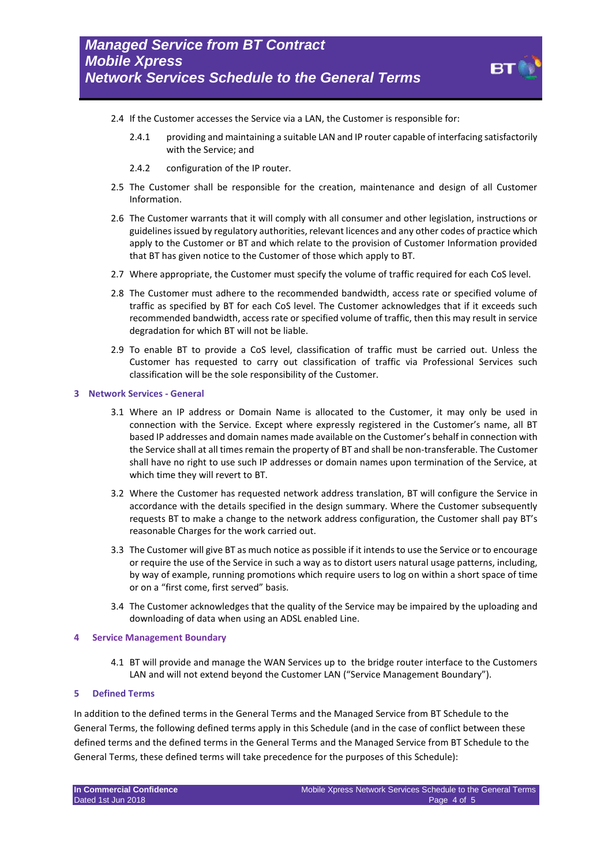

- 2.4 If the Customer accesses the Service via a LAN, the Customer is responsible for:
	- 2.4.1 providing and maintaining a suitable LAN and IP router capable of interfacing satisfactorily with the Service; and
	- 2.4.2 configuration of the IP router.
- 2.5 The Customer shall be responsible for the creation, maintenance and design of all Customer Information.
- 2.6 The Customer warrants that it will comply with all consumer and other legislation, instructions or guidelines issued by regulatory authorities, relevant licences and any other codes of practice which apply to the Customer or BT and which relate to the provision of Customer Information provided that BT has given notice to the Customer of those which apply to BT.
- 2.7 Where appropriate, the Customer must specify the volume of traffic required for each CoS level.
- 2.8 The Customer must adhere to the recommended bandwidth, access rate or specified volume of traffic as specified by BT for each CoS level. The Customer acknowledges that if it exceeds such recommended bandwidth, access rate or specified volume of traffic, then this may result in service degradation for which BT will not be liable.
- 2.9 To enable BT to provide a CoS level, classification of traffic must be carried out. Unless the Customer has requested to carry out classification of traffic via Professional Services such classification will be the sole responsibility of the Customer.
- **3 Network Services - General**
	- 3.1 Where an IP address or Domain Name is allocated to the Customer, it may only be used in connection with the Service. Except where expressly registered in the Customer's name, all BT based IP addresses and domain names made available on the Customer's behalf in connection with the Service shall at all times remain the property of BT and shall be non-transferable. The Customer shall have no right to use such IP addresses or domain names upon termination of the Service, at which time they will revert to BT.
	- 3.2 Where the Customer has requested network address translation, BT will configure the Service in accordance with the details specified in the design summary. Where the Customer subsequently requests BT to make a change to the network address configuration, the Customer shall pay BT's reasonable Charges for the work carried out.
	- 3.3 The Customer will give BT as much notice as possible if it intends to use the Service or to encourage or require the use of the Service in such a way as to distort users natural usage patterns, including, by way of example, running promotions which require users to log on within a short space of time or on a "first come, first served" basis.
	- 3.4 The Customer acknowledges that the quality of the Service may be impaired by the uploading and downloading of data when using an ADSL enabled Line.

#### **4 Service Management Boundary**

4.1 BT will provide and manage the WAN Services up to the bridge router interface to the Customers LAN and will not extend beyond the Customer LAN ("Service Management Boundary").

#### **5 Defined Terms**

In addition to the defined terms in the General Terms and the Managed Service from BT Schedule to the General Terms, the following defined terms apply in this Schedule (and in the case of conflict between these defined terms and the defined terms in the General Terms and the Managed Service from BT Schedule to the General Terms, these defined terms will take precedence for the purposes of this Schedule):